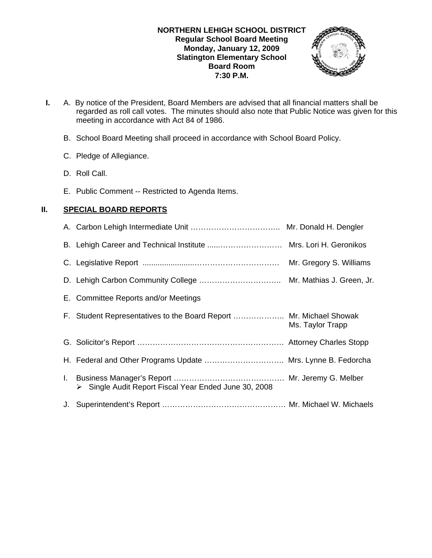### **NORTHERN LEHIGH SCHOOL DISTRICT Regular School Board Meeting Monday, January 12, 2009 Slatington Elementary School Board Room 7:30 P.M.**



- **I.** A. By notice of the President, Board Members are advised that all financial matters shall be regarded as roll call votes. The minutes should also note that Public Notice was given for this meeting in accordance with Act 84 of 1986.
	- B. School Board Meeting shall proceed in accordance with School Board Policy.
	- C. Pledge of Allegiance.
	- D. Roll Call.
	- E. Public Comment -- Restricted to Agenda Items.

# **II. SPECIAL BOARD REPORTS**

|                                                                    | Mr. Gregory S. Williams |
|--------------------------------------------------------------------|-------------------------|
|                                                                    |                         |
| E. Committee Reports and/or Meetings                               |                         |
| F. Student Representatives to the Board Report  Mr. Michael Showak | Ms. Taylor Trapp        |
|                                                                    |                         |
| H. Federal and Other Programs Update  Mrs. Lynne B. Fedorcha       |                         |
| Single Audit Report Fiscal Year Ended June 30, 2008                |                         |
|                                                                    |                         |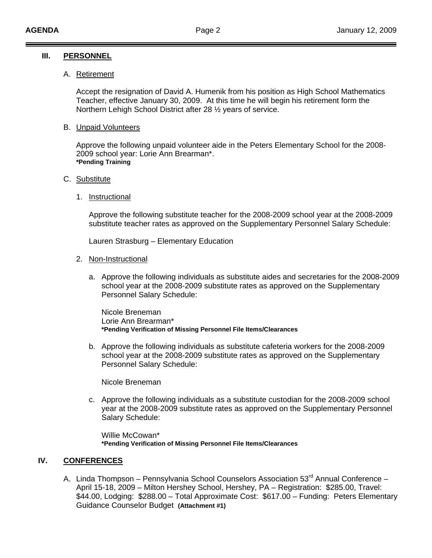### **III. PERSONNEL**

#### A. Retirement

 Accept the resignation of David A. Humenik from his position as High School Mathematics Teacher, effective January 30, 2009. At this time he will begin his retirement form the Northern Lehigh School District after 28 ½ years of service.

#### B. Unpaid Volunteers

Approve the following unpaid volunteer aide in the Peters Elementary School for the 2008- 2009 school year: Lorie Ann Brearman\*. **\*Pending Training**

#### C. Substitute

### 1. Instructional

Approve the following substitute teacher for the 2008-2009 school year at the 2008-2009 substitute teacher rates as approved on the Supplementary Personnel Salary Schedule:

Lauren Strasburg – Elementary Education

#### 2. Non-Instructional

a. Approve the following individuals as substitute aides and secretaries for the 2008-2009 school year at the 2008-2009 substitute rates as approved on the Supplementary Personnel Salary Schedule:

 Nicole Breneman Lorie Ann Brearman\* **\*Pending Verification of Missing Personnel File Items/Clearances** 

b. Approve the following individuals as substitute cafeteria workers for the 2008-2009 school year at the 2008-2009 substitute rates as approved on the Supplementary Personnel Salary Schedule:

Nicole Breneman

c. Approve the following individuals as a substitute custodian for the 2008-2009 school year at the 2008-2009 substitute rates as approved on the Supplementary Personnel Salary Schedule:

 Willie McCowan\*  **\*Pending Verification of Missing Personnel File Items/Clearances** 

#### **IV. CONFERENCES**

A. Linda Thompson – Pennsylvania School Counselors Association 53<sup>rd</sup> Annual Conference – April 15-18, 2009 – Milton Hershey School, Hershey, PA – Registration: \$285.00, Travel: \$44.00, Lodging: \$288.00 – Total Approximate Cost: \$617.00 – Funding: Peters Elementary Guidance Counselor Budget **(Attachment #1)**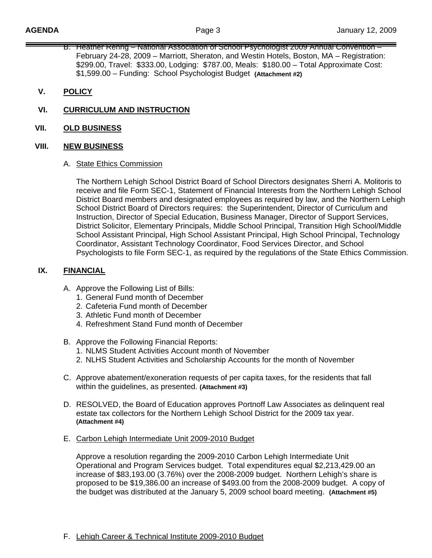- B. Heather Rehrig National Association of School Psychologist 2009 Annual Convention February 24-28, 2009 – Marriott, Sheraton, and Westin Hotels, Boston, MA – Registration: \$299.00, Travel: \$333.00, Lodging: \$787.00, Meals: \$180.00 – Total Approximate Cost: \$1,599.00 – Funding: School Psychologist Budget **(Attachment #2)**
- **V. POLICY**
- **VI. CURRICULUM AND INSTRUCTION**
- **VII. OLD BUSINESS**

#### **VIII. NEW BUSINESS**

A. State Ethics Commission

The Northern Lehigh School District Board of School Directors designates Sherri A. Molitoris to receive and file Form SEC-1, Statement of Financial Interests from the Northern Lehigh School District Board members and designated employees as required by law, and the Northern Lehigh School District Board of Directors requires: the Superintendent, Director of Curriculum and Instruction, Director of Special Education, Business Manager, Director of Support Services, District Solicitor, Elementary Principals, Middle School Principal, Transition High School/Middle School Assistant Principal, High School Assistant Principal, High School Principal, Technology Coordinator, Assistant Technology Coordinator, Food Services Director, and School Psychologists to file Form SEC-1, as required by the regulations of the State Ethics Commission.

## **IX. FINANCIAL**

- A. Approve the Following List of Bills:
	- 1. General Fund month of December
	- 2. Cafeteria Fund month of December
	- 3. Athletic Fund month of December
	- 4. Refreshment Stand Fund month of December
- B. Approve the Following Financial Reports:
	- 1. NLMS Student Activities Account month of November
	- 2. NLHS Student Activities and Scholarship Accounts for the month of November
- C. Approve abatement/exoneration requests of per capita taxes, for the residents that fall within the guidelines, as presented. **(Attachment #3)**
- D. RESOLVED, the Board of Education approves Portnoff Law Associates as delinquent real estate tax collectors for the Northern Lehigh School District for the 2009 tax year. **(Attachment #4)**
- E. Carbon Lehigh Intermediate Unit 2009-2010 Budget

 Approve a resolution regarding the 2009-2010 Carbon Lehigh Intermediate Unit Operational and Program Services budget. Total expenditures equal \$2,213,429.00 an increase of \$83,193.00 (3.76%) over the 2008-2009 budget. Northern Lehigh's share is proposed to be \$19,386.00 an increase of \$493.00 from the 2008-2009 budget. A copy of the budget was distributed at the January 5, 2009 school board meeting. **(Attachment #5)**

F. Lehigh Career & Technical Institute 2009-2010 Budget